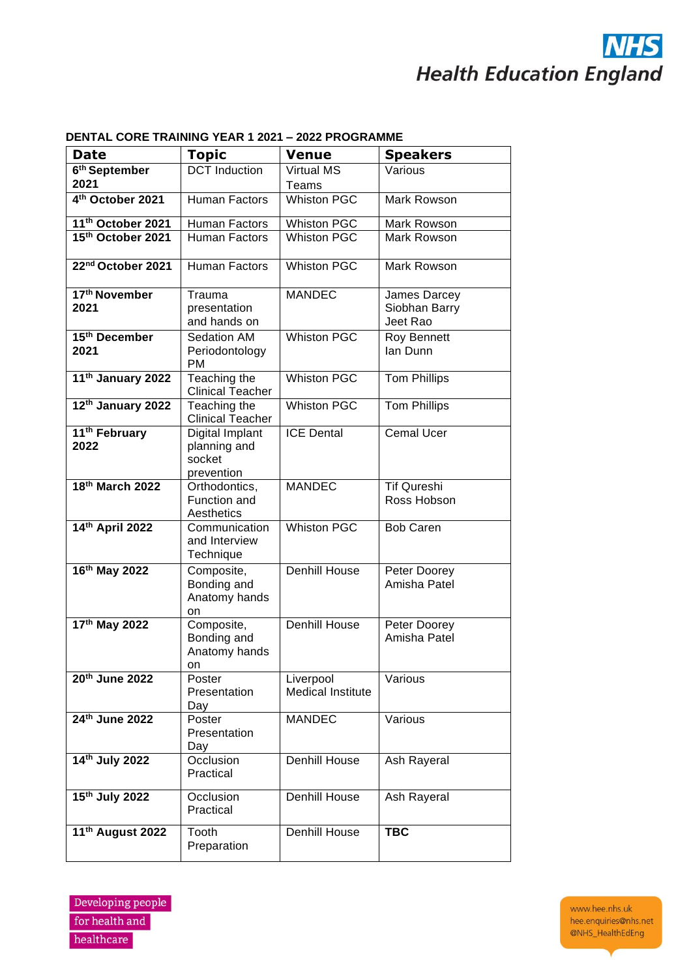## $\mathbf S$ **Health Education England**

| <b>Date</b>                       | <b>Topic</b>                                            | <b>Venue</b>                          | <b>Speakers</b>                           |
|-----------------------------------|---------------------------------------------------------|---------------------------------------|-------------------------------------------|
| 6 <sup>th</sup> September<br>2021 | <b>DCT</b> Induction                                    | <b>Virtual MS</b><br>Teams            | Various                                   |
| 4 <sup>th</sup> October 2021      | <b>Human Factors</b>                                    | Whiston PGC                           | Mark Rowson                               |
| 11 <sup>th</sup> October 2021     | Human Factors                                           | <b>Whiston PGC</b>                    | Mark Rowson                               |
| 15th October 2021                 | Human Factors                                           | <b>Whiston PGC</b>                    | Mark Rowson                               |
| 22nd October 2021                 | <b>Human Factors</b>                                    | <b>Whiston PGC</b>                    | Mark Rowson                               |
| 17 <sup>th</sup> November<br>2021 | Trauma<br>presentation<br>and hands on                  | <b>MANDEC</b>                         | James Darcey<br>Siobhan Barry<br>Jeet Rao |
| 15th December<br>2021             | <b>Sedation AM</b><br>Periodontology<br>PM              | <b>Whiston PGC</b>                    | Roy Bennett<br>lan Dunn                   |
| 11 <sup>th</sup> January 2022     | Teaching the<br><b>Clinical Teacher</b>                 | <b>Whiston PGC</b>                    | <b>Tom Phillips</b>                       |
| 12th January 2022                 | Teaching the<br><b>Clinical Teacher</b>                 | <b>Whiston PGC</b>                    | Tom Phillips                              |
| 11 <sup>th</sup> February<br>2022 | Digital Implant<br>planning and<br>socket<br>prevention | <b>ICE Dental</b>                     | <b>Cemal Ucer</b>                         |
| 18th March 2022                   | Orthodontics,<br>Function and<br>Aesthetics             | <b>MANDEC</b>                         | <b>Tif Qureshi</b><br>Ross Hobson         |
| 14th April 2022                   | Communication<br>and Interview<br>Technique             | <b>Whiston PGC</b>                    | <b>Bob Caren</b>                          |
| 16th May 2022                     | Composite,<br>Bonding and<br>Anatomy hands<br>on        | <b>Denhill House</b>                  | Peter Doorey<br>Amisha Patel              |
| 17th May 2022                     | Composite,<br>Bonding and<br>Anatomy hands<br>on        | <b>Denhill House</b>                  | Peter Doorey<br>Amisha Patel              |
| 20th June 2022                    | Poster<br>Presentation<br>Day                           | Liverpool<br><b>Medical Institute</b> | Various                                   |
| 24th June 2022                    | Poster<br>Presentation<br>Day                           | <b>MANDEC</b>                         | Various                                   |
| 14th July 2022                    | Occlusion<br>Practical                                  | Denhill House                         | Ash Rayeral                               |
| 15th July 2022                    | Occlusion<br>Practical                                  | <b>Denhill House</b>                  | Ash Rayeral                               |
| 11 <sup>th</sup> August 2022      | Tooth<br>Preparation                                    | Denhill House                         | <b>TBC</b>                                |

## **DENTAL CORE TRAINING YEAR 1 2021 – 2022 PROGRAMME**

Developing people for health and healthcare